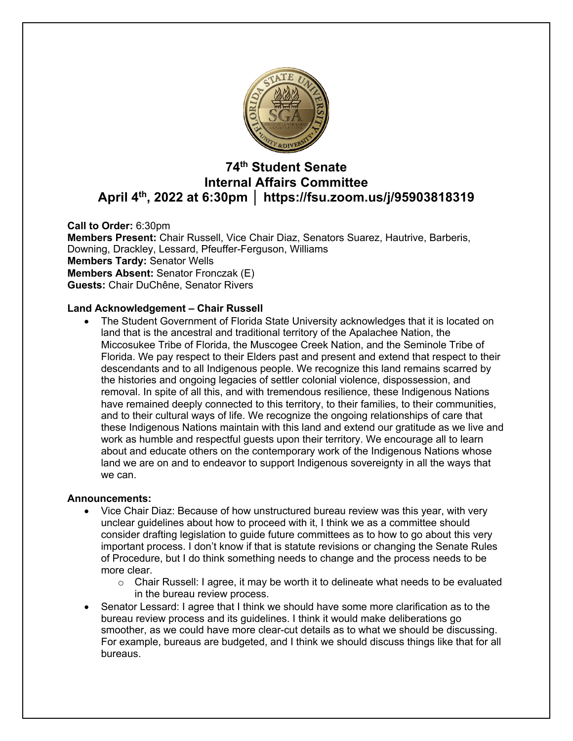

# **74th Student Senate Internal Affairs Committee April 4th, 2022 at 6:30pm │ https://fsu.zoom.us/j/95903818319**

**Call to Order:** 6:30pm **Members Present:** Chair Russell, Vice Chair Diaz, Senators Suarez, Hautrive, Barberis, Downing, Drackley, Lessard, Pfeuffer-Ferguson, Williams **Members Tardy:** Senator Wells **Members Absent:** Senator Fronczak (E) **Guests:** Chair DuChêne, Senator Rivers

# **Land Acknowledgement – Chair Russell**

• The Student Government of Florida State University acknowledges that it is located on land that is the ancestral and traditional territory of the Apalachee Nation, the Miccosukee Tribe of Florida, the Muscogee Creek Nation, and the Seminole Tribe of Florida. We pay respect to their Elders past and present and extend that respect to their descendants and to all Indigenous people. We recognize this land remains scarred by the histories and ongoing legacies of settler colonial violence, dispossession, and removal. In spite of all this, and with tremendous resilience, these Indigenous Nations have remained deeply connected to this territory, to their families, to their communities, and to their cultural ways of life. We recognize the ongoing relationships of care that these Indigenous Nations maintain with this land and extend our gratitude as we live and work as humble and respectful guests upon their territory. We encourage all to learn about and educate others on the contemporary work of the Indigenous Nations whose land we are on and to endeavor to support Indigenous sovereignty in all the ways that we can.

#### **Announcements:**

- Vice Chair Diaz: Because of how unstructured bureau review was this year, with very unclear guidelines about how to proceed with it, I think we as a committee should consider drafting legislation to guide future committees as to how to go about this very important process. I don't know if that is statute revisions or changing the Senate Rules of Procedure, but I do think something needs to change and the process needs to be more clear.
	- $\circ$  Chair Russell: I agree, it may be worth it to delineate what needs to be evaluated in the bureau review process.
- Senator Lessard: I agree that I think we should have some more clarification as to the bureau review process and its guidelines. I think it would make deliberations go smoother, as we could have more clear-cut details as to what we should be discussing. For example, bureaus are budgeted, and I think we should discuss things like that for all bureaus.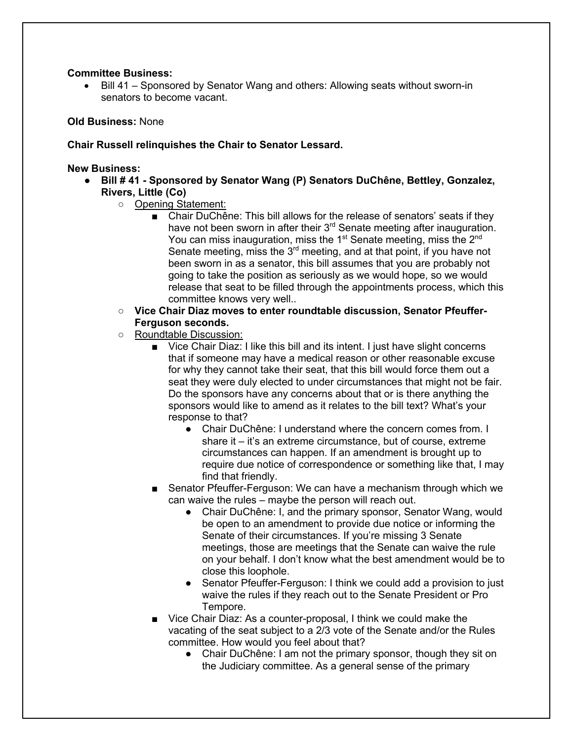### **Committee Business:**

• Bill 41 – Sponsored by Senator Wang and others: Allowing seats without sworn-in senators to become vacant.

### **Old Business:** None

### **Chair Russell relinquishes the Chair to Senator Lessard.**

**New Business:**

- **Bill # 41 - Sponsored by Senator Wang (P) Senators DuChêne, Bettley, Gonzalez, Rivers, Little (Co)**
	- Opening Statement:
		- Chair DuChêne: This bill allows for the release of senators' seats if they have not been sworn in after their  $3<sup>rd</sup>$  Senate meeting after inauguration. You can miss inauguration, miss the  $1<sup>st</sup>$  Senate meeting, miss the  $2<sup>nd</sup>$ Senate meeting, miss the 3<sup>rd</sup> meeting, and at that point, if you have not been sworn in as a senator, this bill assumes that you are probably not going to take the position as seriously as we would hope, so we would release that seat to be filled through the appointments process, which this committee knows very well..
	- **Vice Chair Diaz moves to enter roundtable discussion, Senator Pfeuffer-Ferguson seconds.**
	- Roundtable Discussion:
		- Vice Chair Diaz: I like this bill and its intent. I just have slight concerns that if someone may have a medical reason or other reasonable excuse for why they cannot take their seat, that this bill would force them out a seat they were duly elected to under circumstances that might not be fair. Do the sponsors have any concerns about that or is there anything the sponsors would like to amend as it relates to the bill text? What's your response to that?
			- Chair DuChêne: I understand where the concern comes from. I share it – it's an extreme circumstance, but of course, extreme circumstances can happen. If an amendment is brought up to require due notice of correspondence or something like that, I may find that friendly.
		- Senator Pfeuffer-Ferguson: We can have a mechanism through which we can waive the rules – maybe the person will reach out.
			- Chair DuChêne: I, and the primary sponsor, Senator Wang, would be open to an amendment to provide due notice or informing the Senate of their circumstances. If you're missing 3 Senate meetings, those are meetings that the Senate can waive the rule on your behalf. I don't know what the best amendment would be to close this loophole.
			- Senator Pfeuffer-Ferguson: I think we could add a provision to just waive the rules if they reach out to the Senate President or Pro Tempore.
		- Vice Chair Diaz: As a counter-proposal, I think we could make the vacating of the seat subject to a 2/3 vote of the Senate and/or the Rules committee. How would you feel about that?
			- Chair DuChêne: I am not the primary sponsor, though they sit on the Judiciary committee. As a general sense of the primary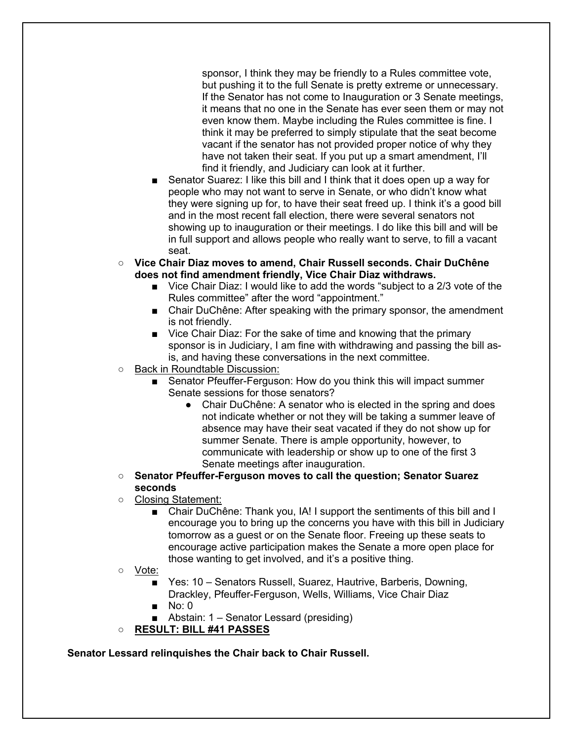sponsor, I think they may be friendly to a Rules committee vote, but pushing it to the full Senate is pretty extreme or unnecessary. If the Senator has not come to Inauguration or 3 Senate meetings, it means that no one in the Senate has ever seen them or may not even know them. Maybe including the Rules committee is fine. I think it may be preferred to simply stipulate that the seat become vacant if the senator has not provided proper notice of why they have not taken their seat. If you put up a smart amendment, I'll find it friendly, and Judiciary can look at it further.

- Senator Suarez: I like this bill and I think that it does open up a way for people who may not want to serve in Senate, or who didn't know what they were signing up for, to have their seat freed up. I think it's a good bill and in the most recent fall election, there were several senators not showing up to inauguration or their meetings. I do like this bill and will be in full support and allows people who really want to serve, to fill a vacant seat.
- **Vice Chair Diaz moves to amend, Chair Russell seconds. Chair DuChêne does not find amendment friendly, Vice Chair Diaz withdraws.**
	- Vice Chair Diaz: I would like to add the words "subject to a 2/3 vote of the Rules committee" after the word "appointment."
	- Chair DuChêne: After speaking with the primary sponsor, the amendment is not friendly.
	- Vice Chair Diaz: For the sake of time and knowing that the primary sponsor is in Judiciary, I am fine with withdrawing and passing the bill asis, and having these conversations in the next committee.
- Back in Roundtable Discussion:
	- Senator Pfeuffer-Ferguson: How do you think this will impact summer Senate sessions for those senators?
		- Chair DuChêne: A senator who is elected in the spring and does not indicate whether or not they will be taking a summer leave of absence may have their seat vacated if they do not show up for summer Senate. There is ample opportunity, however, to communicate with leadership or show up to one of the first 3 Senate meetings after inauguration.
- **Senator Pfeuffer-Ferguson moves to call the question; Senator Suarez seconds**
- Closing Statement:
	- Chair DuChêne: Thank you, IA! I support the sentiments of this bill and I encourage you to bring up the concerns you have with this bill in Judiciary tomorrow as a guest or on the Senate floor. Freeing up these seats to encourage active participation makes the Senate a more open place for those wanting to get involved, and it's a positive thing.
- Vote:
	- Yes: 10 Senators Russell, Suarez, Hautrive, Barberis, Downing, Drackley, Pfeuffer-Ferguson, Wells, Williams, Vice Chair Diaz
	- No: 0
	- Abstain: 1 Senator Lessard (presiding)
- **RESULT: BILL #41 PASSES**

**Senator Lessard relinquishes the Chair back to Chair Russell.**